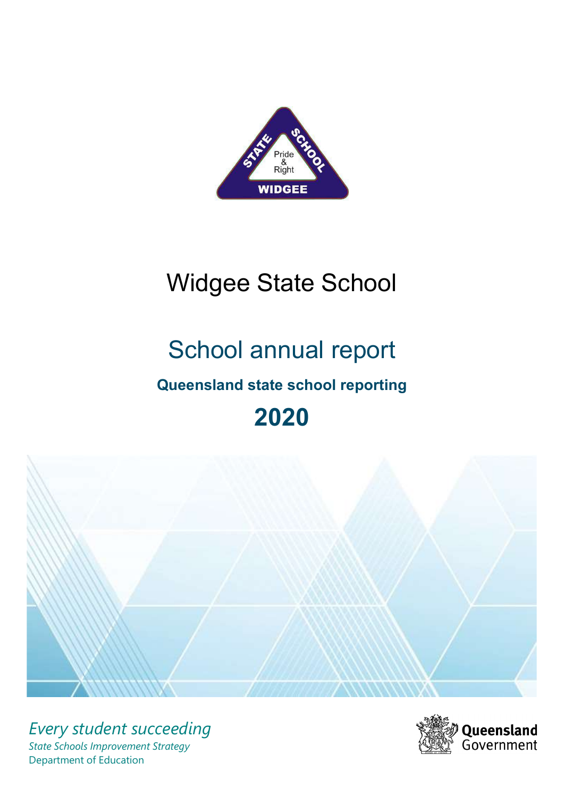

# Widgee State School

# School annual report

# Queensland state school reporting

# 2020



Every student succeeding State Schools Improvement Strategy Department of Education

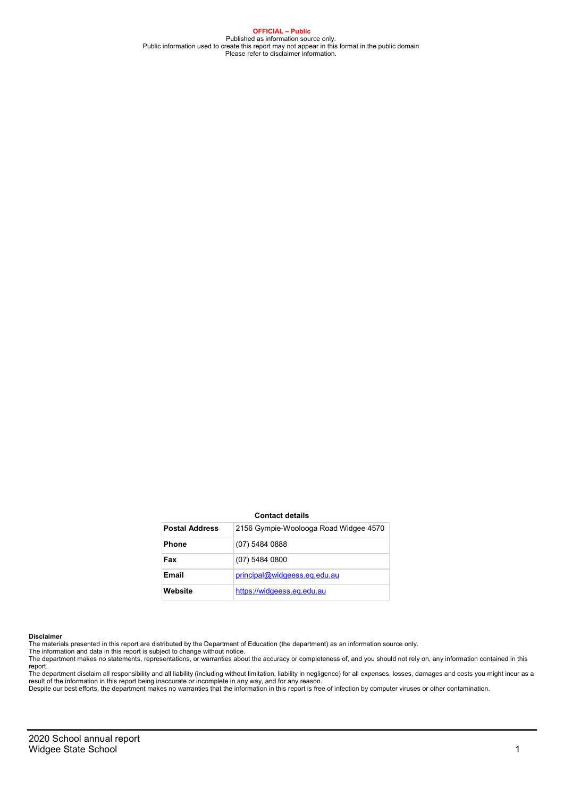OFFICIAL – Public Published as information source only.<br>Public information used to create this report may not appear in this format in the public domain<br>Please refer to disclaimer information.

#### Contact details

| <b>Postal Address</b> | 2156 Gympie-Woolooga Road Widgee 4570 |
|-----------------------|---------------------------------------|
| <b>Phone</b>          | (07) 5484 0888                        |
| Fax                   | $(07)$ 5484 0800                      |
| Email                 | principal@widgeess.eq.edu.au          |
| Website               | https://widgeess.eg.edu.au            |

#### Disclaimer

The materials presented in this report are distributed by the Department of Education (the department) as an information source only. The information and data in this report is subject to change without notice.

The department makes no statements, representations, or warranties about the accuracy or completeness of, and you should not rely on, any information contained in this report.

The department disclaim all responsibility and all liability (including without limitation, liability in negligence) for all expenses, losses, damages and costs you might incur as a<br>result of the information in this report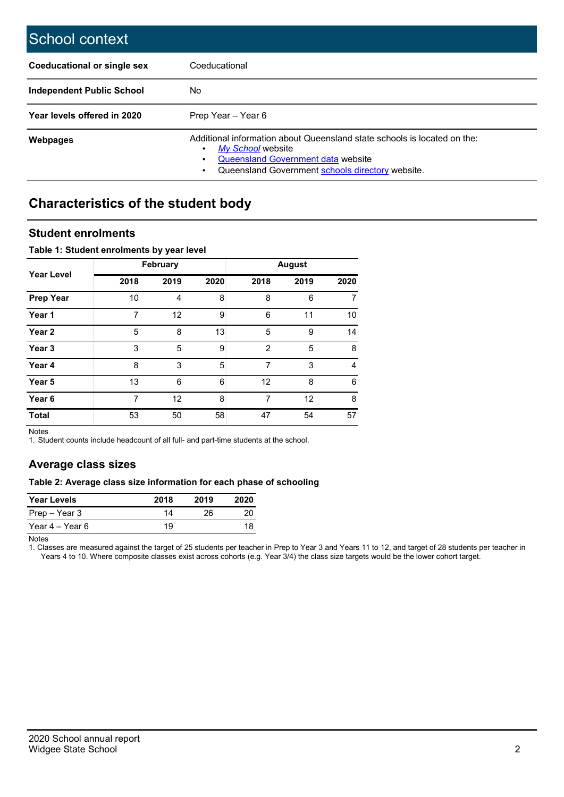| School context                     |                                                                                                                                                                                         |
|------------------------------------|-----------------------------------------------------------------------------------------------------------------------------------------------------------------------------------------|
| <b>Coeducational or single sex</b> | Coeducational                                                                                                                                                                           |
| Independent Public School          | No.                                                                                                                                                                                     |
| Year levels offered in 2020        | Prep Year - Year 6                                                                                                                                                                      |
| <b>Webpages</b>                    | Additional information about Queensland state schools is located on the:<br>My School website<br>Queensland Government data website<br>Queensland Government schools directory website. |

## Characteristics of the student body

### Student enrolments

#### Table 1: Student enrolments by year level

|                   |                | <b>February</b> |      |                | <b>August</b> |      |
|-------------------|----------------|-----------------|------|----------------|---------------|------|
| <b>Year Level</b> | 2018           | 2019            | 2020 | 2018           | 2019          | 2020 |
| <b>Prep Year</b>  | 10             | $\overline{4}$  | 8    | 8              | 6             | 7    |
| Year 1            | 7              | 12              | 9    | 6              | 11            | 10   |
| Year <sub>2</sub> | 5              | 8               | 13   | 5              | 9             | 14   |
| Year 3            | 3              | 5               | 9    | $\mathfrak{p}$ | 5             | 8    |
| Year 4            | 8              | 3               | 5    | 7              | 3             | 4    |
| Year 5            | 13             | 6               | 6    | 12             | 8             | 6    |
| Year 6            | $\overline{7}$ | 12              | 8    | 7              | 12            | 8    |
| <b>Total</b>      | 53             | 50              | 58   | 47             | 54            | 57   |

Notes

1. Student counts include headcount of all full- and part-time students at the school.

### Average class sizes

#### Table 2: Average class size information for each phase of schooling

| <b>Year Levels</b> | 2018 | 2019 | 2020 |
|--------------------|------|------|------|
| Prep – Year 3      | 14   | 26.  | 20   |
| Year 4 – Year 6    | 19   |      | 18   |

Notes

1. Classes are measured against the target of 25 students per teacher in Prep to Year 3 and Years 11 to 12, and target of 28 students per teacher in Years 4 to 10. Where composite classes exist across cohorts (e.g. Year 3/4) the class size targets would be the lower cohort target.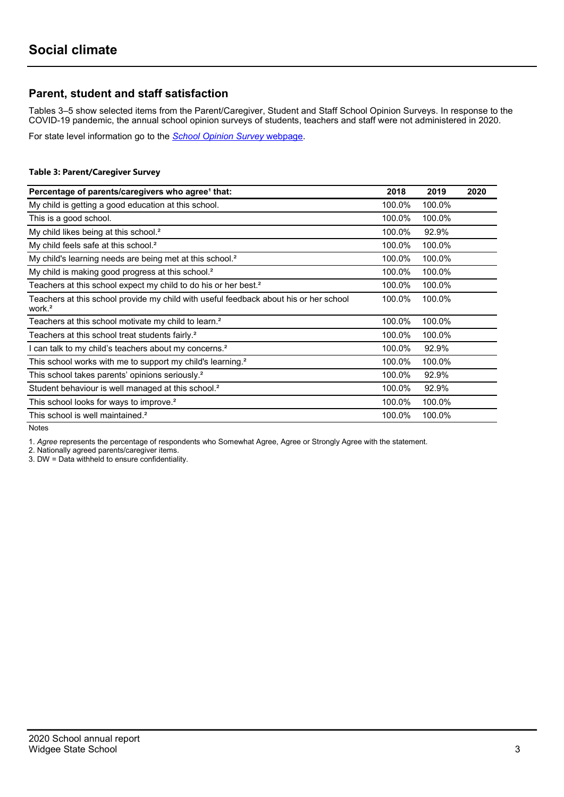## Parent, student and staff satisfaction

Tables 3–5 show selected items from the Parent/Caregiver, Student and Staff School Opinion Surveys. In response to the COVID-19 pandemic, the annual school opinion surveys of students, teachers and staff were not administered in 2020.

For state level information go to the School Opinion Survey webpage.

#### Table 3: Parent/Caregiver Survey

| Percentage of parents/caregivers who agree <sup>1</sup> that:                                               | 2018   | 2019   | 2020 |
|-------------------------------------------------------------------------------------------------------------|--------|--------|------|
| My child is getting a good education at this school.                                                        | 100.0% | 100.0% |      |
| This is a good school.                                                                                      | 100.0% | 100.0% |      |
| My child likes being at this school. <sup>2</sup>                                                           | 100.0% | 92.9%  |      |
| My child feels safe at this school. <sup>2</sup>                                                            | 100.0% | 100.0% |      |
| My child's learning needs are being met at this school. <sup>2</sup>                                        | 100.0% | 100.0% |      |
| My child is making good progress at this school. <sup>2</sup>                                               | 100.0% | 100.0% |      |
| Teachers at this school expect my child to do his or her best. <sup>2</sup>                                 | 100.0% | 100.0% |      |
| Teachers at this school provide my child with useful feedback about his or her school<br>work. <sup>2</sup> | 100.0% | 100.0% |      |
| Teachers at this school motivate my child to learn. <sup>2</sup>                                            | 100.0% | 100.0% |      |
| Teachers at this school treat students fairly. <sup>2</sup>                                                 | 100.0% | 100.0% |      |
| I can talk to my child's teachers about my concerns. <sup>2</sup>                                           | 100.0% | 92.9%  |      |
| This school works with me to support my child's learning. <sup>2</sup>                                      | 100.0% | 100.0% |      |
| This school takes parents' opinions seriously. <sup>2</sup>                                                 | 100.0% | 92.9%  |      |
| Student behaviour is well managed at this school. <sup>2</sup>                                              | 100.0% | 92.9%  |      |
| This school looks for ways to improve. <sup>2</sup>                                                         | 100.0% | 100.0% |      |
| This school is well maintained. <sup>2</sup>                                                                | 100.0% | 100.0% |      |

Notes

1. Agree represents the percentage of respondents who Somewhat Agree, Agree or Strongly Agree with the statement.

2. Nationally agreed parents/caregiver items.

3. DW = Data withheld to ensure confidentiality.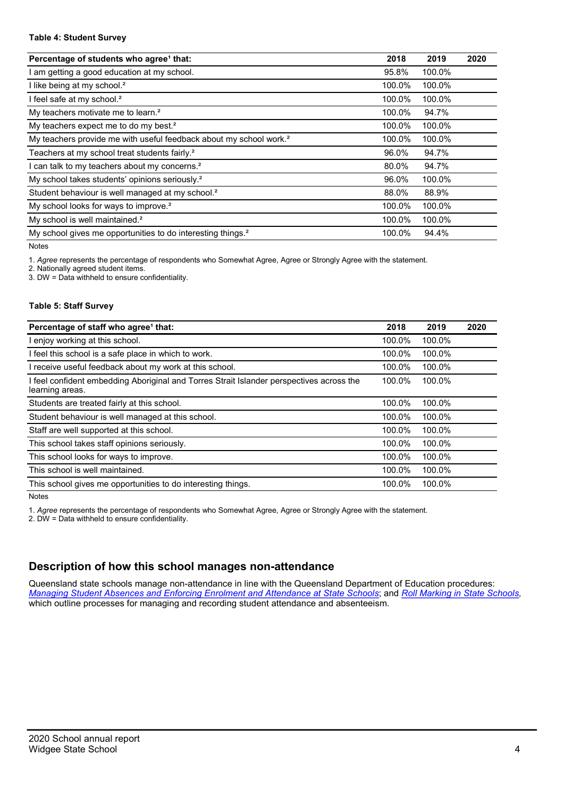#### Table 4: Student Survey

| Percentage of students who agree <sup>1</sup> that:                            | 2018   | 2019   | 2020 |
|--------------------------------------------------------------------------------|--------|--------|------|
| am getting a good education at my school.                                      | 95.8%  | 100.0% |      |
| I like being at my school. <sup>2</sup>                                        | 100.0% | 100.0% |      |
| I feel safe at my school. <sup>2</sup>                                         | 100.0% | 100.0% |      |
| My teachers motivate me to learn. <sup>2</sup>                                 | 100.0% | 94.7%  |      |
| My teachers expect me to do my best. <sup>2</sup>                              | 100.0% | 100.0% |      |
| My teachers provide me with useful feedback about my school work. <sup>2</sup> | 100.0% | 100.0% |      |
| Teachers at my school treat students fairly. <sup>2</sup>                      | 96.0%  | 94.7%  |      |
| can talk to my teachers about my concerns. <sup>2</sup>                        | 80.0%  | 94.7%  |      |
| My school takes students' opinions seriously. <sup>2</sup>                     | 96.0%  | 100.0% |      |
| Student behaviour is well managed at my school. <sup>2</sup>                   | 88.0%  | 88.9%  |      |
| My school looks for ways to improve. <sup>2</sup>                              | 100.0% | 100.0% |      |
| My school is well maintained. <sup>2</sup>                                     | 100.0% | 100.0% |      |
| My school gives me opportunities to do interesting things. <sup>2</sup>        | 100.0% | 94.4%  |      |

Notes

1. Agree represents the percentage of respondents who Somewhat Agree, Agree or Strongly Agree with the statement.

2. Nationally agreed student items.

3. DW = Data withheld to ensure confidentiality.

#### Table 5: Staff Survey

| Percentage of staff who agree <sup>1</sup> that:                                                            | 2018   | 2019   | 2020 |
|-------------------------------------------------------------------------------------------------------------|--------|--------|------|
| I enjoy working at this school.                                                                             | 100.0% | 100.0% |      |
| I feel this school is a safe place in which to work.                                                        | 100.0% | 100.0% |      |
| I receive useful feedback about my work at this school.                                                     | 100.0% | 100.0% |      |
| I feel confident embedding Aboriginal and Torres Strait Islander perspectives across the<br>learning areas. | 100.0% | 100.0% |      |
| Students are treated fairly at this school.                                                                 | 100.0% | 100.0% |      |
| Student behaviour is well managed at this school.                                                           | 100.0% | 100.0% |      |
| Staff are well supported at this school.                                                                    | 100.0% | 100.0% |      |
| This school takes staff opinions seriously.                                                                 | 100.0% | 100.0% |      |
| This school looks for ways to improve.                                                                      | 100.0% | 100.0% |      |
| This school is well maintained.                                                                             | 100.0% | 100.0% |      |
| This school gives me opportunities to do interesting things.                                                | 100.0% | 100.0% |      |

Notes

1. Agree represents the percentage of respondents who Somewhat Agree, Agree or Strongly Agree with the statement.

2. DW = Data withheld to ensure confidentiality.

## Description of how this school manages non-attendance

Queensland state schools manage non-attendance in line with the Queensland Department of Education procedures: Managing Student Absences and Enforcing Enrolment and Attendance at State Schools; and Roll Marking in State Schools, which outline processes for managing and recording student attendance and absenteeism.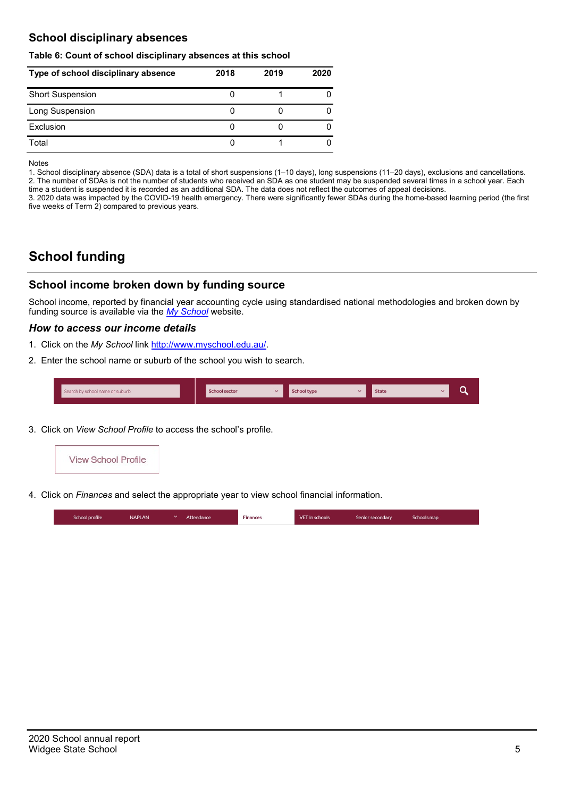## School disciplinary absences

#### Table 6: Count of school disciplinary absences at this school

| Type of school disciplinary absence | 2018 | 2019 | 2020 |
|-------------------------------------|------|------|------|
| <b>Short Suspension</b>             |      |      |      |
| Long Suspension                     |      |      |      |
| Exclusion                           |      |      |      |
| Total                               |      |      |      |

Notes

1. School disciplinary absence (SDA) data is a total of short suspensions (1–10 days), long suspensions (11–20 days), exclusions and cancellations. 2. The number of SDAs is not the number of students who received an SDA as one student may be suspended several times in a school year. Each time a student is suspended it is recorded as an additional SDA. The data does not reflect the outcomes of appeal decisions.

3. 2020 data was impacted by the COVID-19 health emergency. There were significantly fewer SDAs during the home-based learning period (the first five weeks of Term 2) compared to previous years.

# School funding

## School income broken down by funding source

School income, reported by financial year accounting cycle using standardised national methodologies and broken down by funding source is available via the  $My$  School website.

#### How to access our income details

- 1. Click on the My School link http://www.myschool.edu.au/.
- 2. Enter the school name or suburb of the school you wish to search.

| Search by school name or suburb | <b>School sector</b> | <b>School type</b> | <b>State</b> | ∽ |  |
|---------------------------------|----------------------|--------------------|--------------|---|--|
|                                 |                      |                    |              |   |  |

3. Click on View School Profile to access the school's profile.



4. Click on Finances and select the appropriate year to view school financial information.

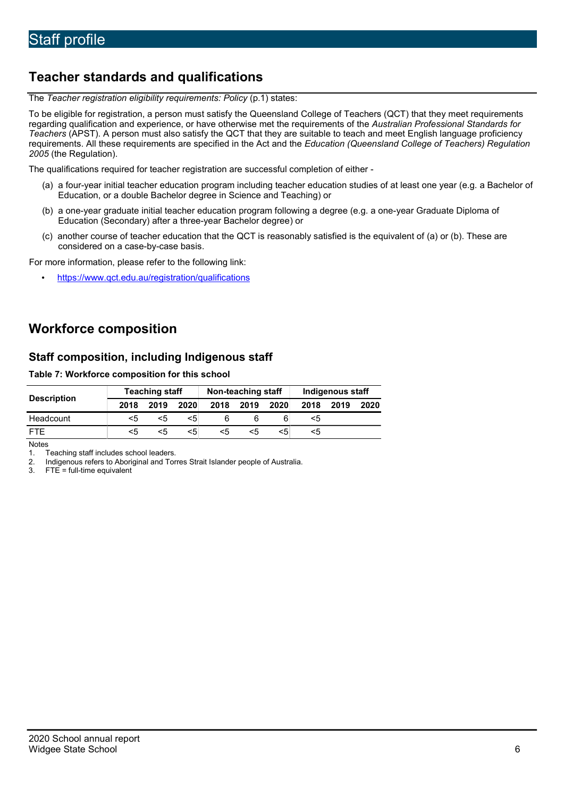# Teacher standards and qualifications

The Teacher registration eligibility requirements: Policy (p.1) states:

To be eligible for registration, a person must satisfy the Queensland College of Teachers (QCT) that they meet requirements regarding qualification and experience, or have otherwise met the requirements of the Australian Professional Standards for Teachers (APST). A person must also satisfy the QCT that they are suitable to teach and meet English language proficiency requirements. All these requirements are specified in the Act and the Education (Queensland College of Teachers) Regulation 2005 (the Regulation).

The qualifications required for teacher registration are successful completion of either -

- (a) a four-year initial teacher education program including teacher education studies of at least one year (e.g. a Bachelor of Education, or a double Bachelor degree in Science and Teaching) or
- (b) a one-year graduate initial teacher education program following a degree (e.g. a one-year Graduate Diploma of Education (Secondary) after a three-year Bachelor degree) or
- (c) another course of teacher education that the QCT is reasonably satisfied is the equivalent of (a) or (b). These are considered on a case-by-case basis.

For more information, please refer to the following link:

• https://www.qct.edu.au/registration/qualifications

# Workforce composition

## Staff composition, including Indigenous staff

#### Table 7: Workforce composition for this school

|                    | <b>Teaching staff</b> |      |      | Non-teaching staff |      |      | Indigenous staff |      |      |
|--------------------|-----------------------|------|------|--------------------|------|------|------------------|------|------|
| <b>Description</b> | 2018                  | 2019 | 2020 | 2018               | 2019 | 2020 | 2018             | 2019 | 2020 |
| Headcount          | <5                    | <5   | <5   |                    |      |      | <5               |      |      |
| <b>FTF</b>         | <5                    | < 5  | <5   | <5                 | <5   | <5   | <5               |      |      |

**Notes** 

1. Teaching staff includes school leaders.<br>2. Indigenous refers to Aboriginal and Tor

2. Indigenous refers to Aboriginal and Torres Strait Islander people of Australia.<br>3. FTE = full-time equivalent

 $FTE = full-time equivalent$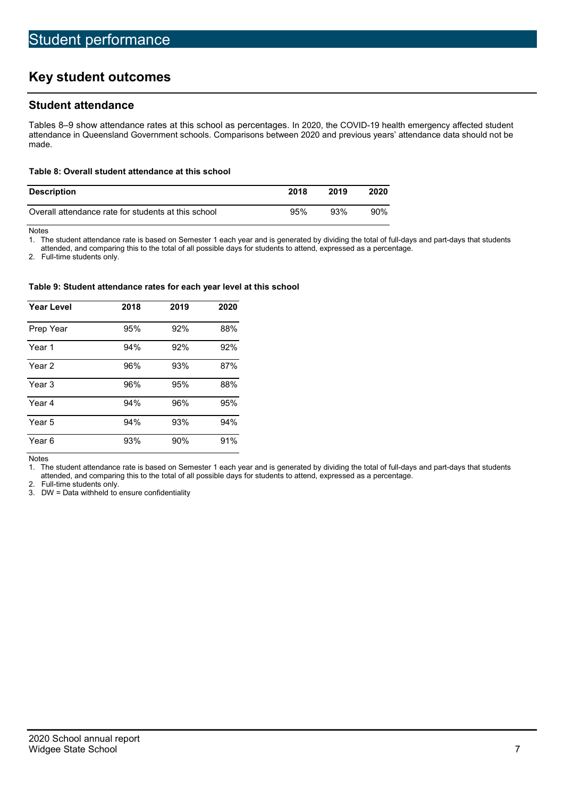# Key student outcomes

## Student attendance

Tables 8–9 show attendance rates at this school as percentages. In 2020, the COVID-19 health emergency affected student attendance in Queensland Government schools. Comparisons between 2020 and previous years' attendance data should not be made.

#### Table 8: Overall student attendance at this school

| <b>Description</b>                                  | 2018 | 2019 | 2020 |
|-----------------------------------------------------|------|------|------|
| Overall attendance rate for students at this school | 95%  | 93%  | 90%  |

Notes

1. The student attendance rate is based on Semester 1 each year and is generated by dividing the total of full-days and part-days that students

attended, and comparing this to the total of all possible days for students to attend, expressed as a percentage.

2. Full-time students only.

#### Table 9: Student attendance rates for each year level at this school

| <b>Year Level</b> | 2018 | 2019 | 2020 |
|-------------------|------|------|------|
| Prep Year         | 95%  | 92%  | 88%  |
| Year 1            | 94%  | 92%  | 92%  |
| Year 2            | 96%  | 93%  | 87%  |
| Year 3            | 96%  | 95%  | 88%  |
| Year 4            | 94%  | 96%  | 95%  |
| Year 5            | 94%  | 93%  | 94%  |
| Year 6            | 93%  | 90%  | 91%  |

Notes

1. The student attendance rate is based on Semester 1 each year and is generated by dividing the total of full-days and part-days that students attended, and comparing this to the total of all possible days for students to attend, expressed as a percentage.

2. Full-time students only.

3. DW = Data withheld to ensure confidentiality